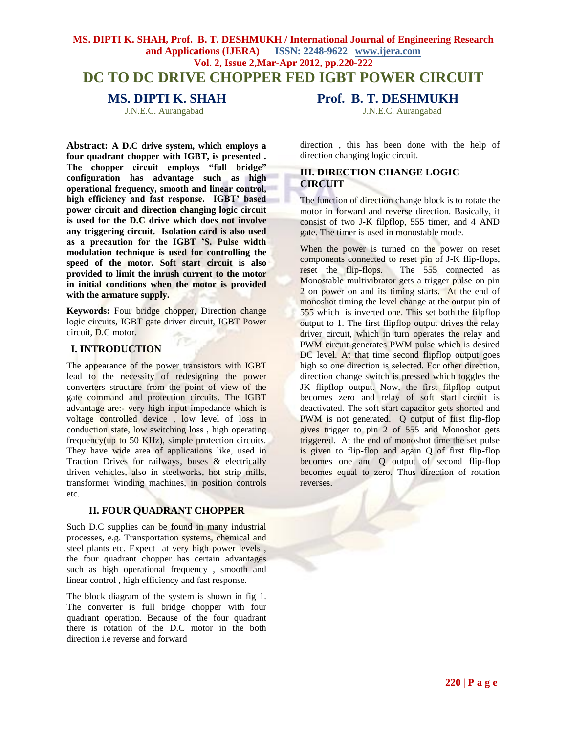# **MS. DIPTI K. SHAH, Prof. B. T. DESHMUKH / International Journal of Engineering Research and Applications (IJERA) ISSN: 2248-9622 www.ijera.com Vol. 2, Issue 2,Mar-Apr 2012, pp.220-222 DC TO DC DRIVE CHOPPER FED IGBT POWER CIRCUIT**

**Abstract: A D.C drive system, which employs a four quadrant chopper with IGBT, is presented . The chopper circuit employs "full bridge" configuration has advantage such as high operational frequency, smooth and linear control, high efficiency and fast response. IGBT' based power circuit and direction changing logic circuit is used for the D.C drive which does not involve any triggering circuit. Isolation card is also used as a precaution for the IGBT 'S. Pulse width modulation technique is used for controlling the speed of the motor. Soft start circuit is also provided to limit the inrush current to the motor in initial conditions when the motor is provided with the armature supply.**

**Keywords:** Four bridge chopper, Direction change logic circuits, IGBT gate driver circuit, IGBT Power circuit, D.C motor.

## **I. INTRODUCTION**

The appearance of the power transistors with IGBT lead to the necessity of redesigning the power converters structure from the point of view of the gate command and protection circuits. The IGBT advantage are:- very high input impedance which is voltage controlled device , low level of loss in conduction state, low switching loss , high operating frequency(up to 50 KHz), simple protection circuits. They have wide area of applications like, used in Traction Drives for railways, buses & electrically driven vehicles, also in steelworks, hot strip mills, transformer winding machines, in position controls etc.

#### **II. FOUR QUADRANT CHOPPER**

Such D.C supplies can be found in many industrial processes, e.g. Transportation systems, chemical and steel plants etc. Expect at very high power levels , the four quadrant chopper has certain advantages such as high operational frequency , smooth and linear control , high efficiency and fast response.

The block diagram of the system is shown in fig 1. The converter is full bridge chopper with four quadrant operation. Because of the four quadrant there is rotation of the D.C motor in the both direction i.e reverse and forward

**MS. DIPTI K. SHAH Prof. B. T. DESHMUKH** 

J.N.E.C. Aurangabad J.N.E.C. Aurangabad

direction , this has been done with the help of direction changing logic circuit.

# **III. DIRECTION CHANGE LOGIC CIRCUIT**

The function of direction change block is to rotate the motor in forward and reverse direction. Basically, it consist of two J-K filpflop, 555 timer, and 4 AND gate. The timer is used in monostable mode.

When the power is turned on the power on reset components connected to reset pin of J-K flip-flops, reset the flip-flops. The 555 connected as Monostable multivibrator gets a trigger pulse on pin 2 on power on and its timing starts. At the end of monoshot timing the level change at the output pin of 555 which is inverted one. This set both the filpflop output to 1. The first flipflop output drives the relay driver circuit, which in turn operates the relay and PWM circuit generates PWM pulse which is desired DC level. At that time second flipflop output goes high so one direction is selected. For other direction, direction change switch is pressed which toggles the JK flipflop output. Now, the first filpflop output becomes zero and relay of soft start circuit is deactivated. The soft start capacitor gets shorted and PWM is not generated. Q output of first flip-flop gives trigger to pin 2 of 555 and Monoshot gets triggered. At the end of monoshot time the set pulse is given to flip-flop and again Q of first flip-flop becomes one and Q output of second flip-flop becomes equal to zero. Thus direction of rotation reverses.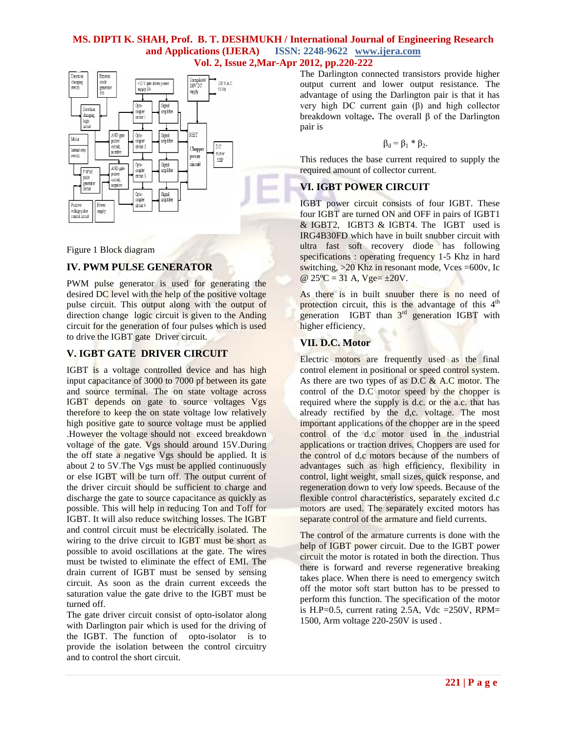#### **MS. DIPTI K. SHAH, Prof. B. T. DESHMUKH / International Journal of Engineering Research and Applications (IJERA) ISSN: 2248-9622 www.ijera.com Vol. 2, Issue 2,Mar-Apr 2012, pp.220-222**



Figure 1 Block diagram

## **IV. PWM PULSE GENERATOR**

PWM pulse generator is used for generating the desired DC level with the help of the positive voltage pulse circuit. This output along with the output of direction change logic circuit is given to the Anding circuit for the generation of four pulses which is used to drive the IGBT gate Driver circuit.

## **V. IGBT GATE DRIVER CIRCUIT**

IGBT is a voltage controlled device and has high input capacitance of 3000 to 7000 pf between its gate and source terminal. The on state voltage across IGBT depends on gate to source voltages Vgs therefore to keep the on state voltage low relatively high positive gate to source voltage must be applied .However the voltage should not exceed breakdown voltage of the gate. Vgs should around 15V.During the off state a negative Vgs should be applied. It is about 2 to 5V.The Vgs must be applied continuously or else IGBT will be turn off. The output current of the driver circuit should be sufficient to charge and discharge the gate to source capacitance as quickly as possible. This will help in reducing Ton and Toff for IGBT. It will also reduce switching losses. The IGBT and control circuit must be electrically isolated. The wiring to the drive circuit to IGBT must be short as possible to avoid oscillations at the gate. The wires must be twisted to eliminate the effect of EMI. The drain current of IGBT must be sensed by sensing circuit. As soon as the drain current exceeds the saturation value the gate drive to the IGBT must be turned off.

The gate driver circuit consist of opto-isolator along with Darlington pair which is used for the driving of the IGBT. The function of opto-isolator is to provide the isolation between the control circuitry and to control the short circuit.

The Darlington connected transistors provide higher output current and lower output resistance. The advantage of using the Darlington pair is that it has very high DC current gain (β) and high collector breakdown voltage**.** The overall β of the Darlington pair is

$$
\beta_d=\beta_1*\beta_2.
$$

This reduces the base current required to supply the required amount of collector current.

# **VI. IGBT POWER CIRCUIT**

IGBT power circuit consists of four IGBT. These four IGBT are turned ON and OFF in pairs of IGBT1 & IGBT2, IGBT3 & IGBT4. The IGBT used is IRG4B30FD which have in built snubber circuit with ultra fast soft recovery diode has following specifications : operating frequency 1-5 Khz in hard switching, >20 Khz in resonant mode, Vces =600v, Ic @  $25^{\circ}C = 31$  A,  $Vge = \pm 20V$ .

As there is in built snuuber there is no need of protection circuit, this is the advantage of this  $4<sup>th</sup>$ generation IGBT than  $3<sup>rd</sup>$  generation IGBT with higher efficiency.

## **VII. D.C. Motor**

Electric motors are frequently used as the final control element in positional or speed control system. As there are two types of as D.C  $&$  A.C motor. The control of the D.C motor speed by the chopper is required where the supply is d.c. or the a.c. that has already rectified by the d,c. voltage. The most important applications of the chopper are in the speed control of the d.c motor used in the industrial applications or traction drives. Choppers are used for the control of d.c motors because of the numbers of advantages such as high efficiency, flexibility in control, light weight, small sizes, quick response, and regeneration down to very low speeds. Because of the flexible control characteristics, separately excited d.c motors are used. The separately excited motors has separate control of the armature and field currents.

The control of the armature currents is done with the help of IGBT power circuit. Due to the IGBT power circuit the motor is rotated in both the direction. Thus there is forward and reverse regenerative breaking takes place. When there is need to emergency switch off the motor soft start button has to be pressed to perform this function. The specification of the motor is H.P=0.5, current rating 2.5A, Vdc =250V, RPM= 1500, Arm voltage 220-250V is used .